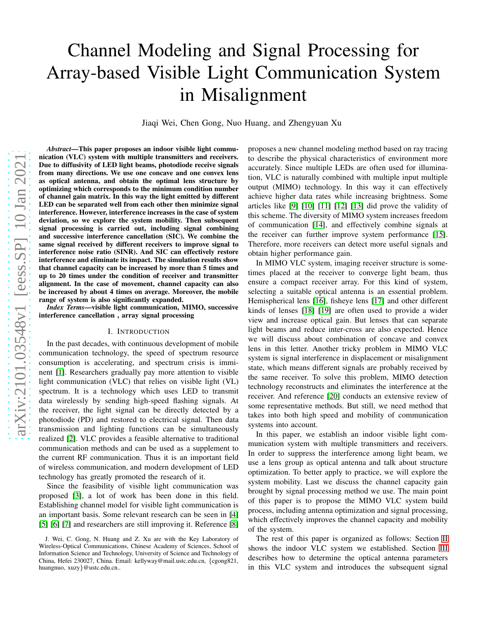# Channel Modeling and Signal Processing for Array-based Visible Light Communication System in Misalignment

Jiaqi Wei, Chen Gong, Nuo Huang, and Zhengyuan Xu

*Abstract*—This paper proposes an indoor visible light communication (VLC) system with multiple transmitters and receivers. Due to diffusivity of LED light beams, photodiode receive signals from many directions. We use one concave and one convex lens as optical antenna, and obtain the optimal lens structure by optimizing which corresponds to the minimum condition number of channel gain matrix. In this way the light emitted by different LED can be separated well from each other then minimize signal interference. However, interference increases in the case of system deviation, so we explore the system mobility. Then subsequent signal processing is carried out, including signal combining and successive interference cancellation (SIC). We combine the same signal received by different receivers to improve signal to interference noise ratio (SINR). And SIC can effectively restore interference and eliminate its impact. The simulation results show that channel capacity can be increased by more than 5 times and up to 20 times under the condition of receiver and transmitter alignment. In the case of movement, channel capacity can also be increased by about 4 times on average. Moreover, the mobile range of system is also significantly expanded.

*Index Terms*—visible light communication, MIMO, successive interference cancellation , array signal processing

# I. INTRODUCTION

In the past decades, with continuous development of mobile communication technology, the speed of spectrum resource consumption is accelerating, and spectrum crisis is imminent [\[1\]](#page-7-0). Researchers gradually pay more attention to visible light communication (VLC) that relies on visible light (VL) spectrum. It is a technology which uses LED to transmit data wirelessly by sending high-speed flashing signals. At the receiver, the light signal can be directly detected by a photodiode (PD) and restored to electrical signal. Then data transmission and lighting functions can be simultaneously realized [\[2\]](#page-7-1). VLC provides a feasible alternative to traditional communication methods and can be used as a supplement to the current RF communication. Thus it is an important field of wireless communication, and modern development of LED technology has greatly promoted the research of it.

Since the feasibility of visible light communication was proposed [\[3\]](#page-7-2), a lot of work has been done in this field. Establishing channel model for visible light communication is an important basis. Some relevant research can be seen in [\[4\]](#page-7-3) [\[5\]](#page-7-4) [\[6\]](#page-7-5) [\[7\]](#page-7-6) and researchers are still improving it. Reference [\[8\]](#page-7-7) proposes a new channel modeling method based on ray tracing to describe the physical characteristics of environment more accurately. Since multiple LEDs are often used for illumination, VLC is naturally combined with multiple input multiple output (MIMO) technology. In this way it can effectively achieve higher data rates while increasing brightness. Some articles like [\[9\]](#page-7-8) [\[10\]](#page-7-9) [\[11\]](#page-7-10) [\[12\]](#page-7-11) [\[13\]](#page-7-12) did prove the validity of this scheme. The diversity of MIMO system increases freedom of communication [\[14\]](#page-7-13), and effectively combine signals at the receiver can further improve system performance [\[15\]](#page-7-14). Therefore, more receivers can detect more useful signals and obtain higher performance gain.

In MIMO VLC system, imaging receiver structure is sometimes placed at the receiver to converge light beam, thus ensure a compact receiver array. For this kind of system, selecting a suitable optical antenna is an essential problem. Hemispherical lens [\[16\]](#page-7-15), fisheye lens [\[17\]](#page-7-16) and other different kinds of lenses [\[18\]](#page-7-17) [\[19\]](#page-7-18) are often used to provide a wider view and increase optical gain. But lenses that can separate light beams and reduce inter-cross are also expected. Hence we will discuss about combination of concave and convex lens in this letter. Another tricky problem in MIMO VLC system is signal interference in displacement or misalignment state, which means different signals are probably received by the same receiver. To solve this problem, MIMO detection technology reconstructs and eliminates the interference at the receiver. And reference [\[20\]](#page-7-19) conducts an extensive review of some representative methods. But still, we need method that takes into both high speed and mobility of communication systems into account.

In this paper, we establish an indoor visible light communication system with multiple transmitters and receivers. In order to suppress the interference among light beam, we use a lens group as optical antenna and talk about structure optimization. To better apply to practice, we will explore the system mobility. Last we discuss the channel capacity gain brought by signal processing method we use. The main point of this paper is to propose the MIMO VLC system build process, including antenna optimization and signal processing, which effectively improves the channel capacity and mobility of the system.

The rest of this paper is organized as follows: Section [II](#page-1-0) shows the indoor VLC system we established. Section [III](#page-1-1) describes how to determine the optical antenna parameters in this VLC system and introduces the subsequent signal

J. Wei, C. Gong, N. Huang and Z. Xu are with the Key Laboratory of Wireless-Optical Communications, Chinese Academy of Sciences, School of Information Science and Technology, University of Science and Technology of China, Hefei 230027, China. Email: kellyway@mail.ustc.edu.cn, {cgong821, huangnuo, xuzy}@ustc.edu.cn..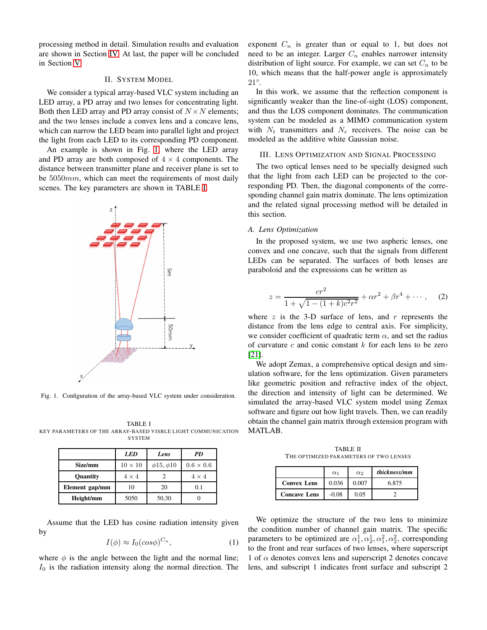<span id="page-1-0"></span>processing method in detail. Simulation results and evaluation are shown in Section [IV.](#page-4-0) At last, the paper will be concluded in Section [V.](#page-7-20)

## II. SYSTEM MODEL

We consider a typical array-based VLC system including an LED array, a PD array and two lenses for concentrating light. Both then LED array and PD array consist of  $N \times N$  elements; and the two lenses include a convex lens and a concave lens, which can narrow the LED beam into parallel light and project the light from each LED to its corresponding PD component.

An example is shown in Fig. [1,](#page-1-2) where the LED array and PD array are both composed of  $4 \times 4$  components. The distance between transmitter plane and receiver plane is set to be  $5050mm$ , which can meet the requirements of most daily scenes. The key parameters are shown in TABLE [I.](#page-1-3)



<span id="page-1-2"></span>Fig. 1. Configuration of the array-based VLC system under consideration.

<span id="page-1-3"></span>TABLE I KEY PARAMETERS OF THE ARRAY-BASED VISBLE LIGHT COMMUNICATION **SYSTEM** 

|                 | <b>LED</b>     | Lens                 | <b>PD</b>        |
|-----------------|----------------|----------------------|------------------|
| Size/mm         | $10 \times 10$ | $\phi$ 15, $\phi$ 10 | $0.6 \times 0.6$ |
| <b>Ouantity</b> | $4 \times 4$   |                      | $4 \times 4$     |
| Element gap/mm  | 10             | 20                   | 0.1              |
| Height/mm       | 5050           | 50,30                |                  |

Assume that the LED has cosine radiation intensity given by

$$
I(\phi) \approx I_0(\cos \phi)^{C_n},\tag{1}
$$

where  $\phi$  is the angle between the light and the normal line;  $I_0$  is the radiation intensity along the normal direction. The

exponent  $C_n$  is greater than or equal to 1, but does not need to be an integer. Larger  $C_n$  enables narrower intensity distribution of light source. For example, we can set  $C_n$  to be 10, which means that the half-power angle is approximately 21°.

In this work, we assume that the reflection component is significantly weaker than the line-of-sight (LOS) component, and thus the LOS component dominates. The communication system can be modeled as a MIMO communication system with  $N_t$  transmitters and  $N_r$  receivers. The noise can be modeled as the additive white Gaussian noise.

#### <span id="page-1-1"></span>III. LENS OPTIMIZATION AND SIGNAL PROCESSING

The two optical lenses need to be specially designed such that the light from each LED can be projected to the corresponding PD. Then, the diagonal components of the corresponding channel gain matrix dominate. The lens optimization and the related signal processing method will be detailed in this section.

# *A. Lens Optimization*

In the proposed system, we use two aspheric lenses, one convex and one concave, such that the signals from different LEDs can be separated. The surfaces of both lenses are paraboloid and the expressions can be written as

$$
z = \frac{cr^2}{1 + \sqrt{1 - (1 + k)c^2r^2}} + \alpha r^2 + \beta r^4 + \cdots, \quad (2)
$$

where z is the 3-D surface of lens, and r represents the distance from the lens edge to central axis. For simplicity, we consider coefficient of quadratic term  $\alpha$ , and set the radius of curvature  $c$  and conic constant  $k$  for each lens to be zero [\[21\]](#page-7-21).

We adopt Zemax, a comprehensive optical design and simulation software, for the lens optimization. Given parameters like geometric position and refractive index of the object, the direction and intensity of light can be determined. We simulated the array-based VLC system model using Zemax software and figure out how light travels. Then, we can readily obtain the channel gain matrix through extension program with MATLAB.

TABLE II THE OPTIMIZED PARAMETERS OF TWO LENSES

<span id="page-1-4"></span>

|                     | $\alpha_1$ | $\alpha$ | thickness/mm |
|---------------------|------------|----------|--------------|
| <b>Convex Lens</b>  | 0.036      | 0.007    | 6.875        |
| <b>Concave Lens</b> | $-0.08$    | 0.05     |              |

We optimize the structure of the two lens to minimize the condition number of channel gain matrix. The specific parameters to be optimized are  $\alpha_1^1, \alpha_2^1, \alpha_1^2, \alpha_2^2$ , corresponding to the front and rear surfaces of two lenses, where superscript 1 of  $\alpha$  denotes convex lens and superscript 2 denotes concave lens, and subscript 1 indicates front surface and subscript 2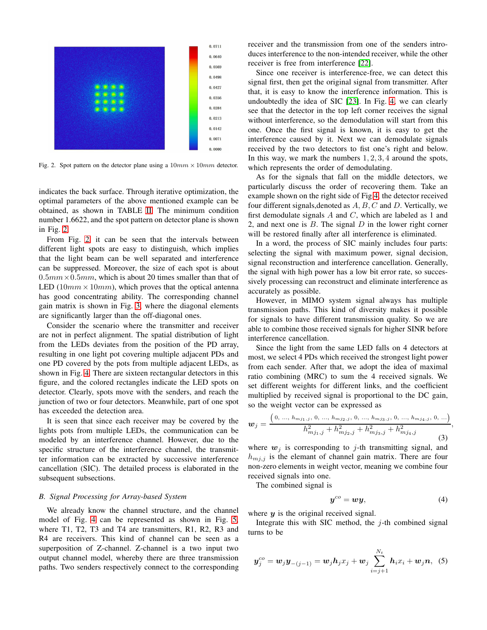

<span id="page-2-0"></span>Fig. 2. Spot pattern on the detector plane using a  $10mm \times 10mm$  detector.

indicates the back surface. Through iterative optimization, the optimal parameters of the above mentioned example can be obtained, as shown in TABLE [II.](#page-1-4) The minimum condition number 1.6622, and the spot pattern on detector plane is shown in Fig. [2.](#page-2-0)

From Fig. [2,](#page-2-0) it can be seen that the intervals between different light spots are easy to distinguish, which implies that the light beam can be well separated and interference can be suppressed. Moreover, the size of each spot is about  $0.5mm \times 0.5mm$ , which is about 20 times smaller than that of LED  $(10mm \times 10mm)$ , which proves that the optical antenna has good concentrating ability. The corresponding channel gain matrix is shown in Fig. [3,](#page-3-0) where the diagonal elements are significantly larger than the off-diagonal ones.

Consider the scenario where the transmitter and receiver are not in perfect alignment. The spatial distribution of light from the LEDs deviates from the position of the PD array, resulting in one light pot covering multiple adjacent PDs and one PD covered by the pots from multiple adjacent LEDs, as shown in Fig. [4.](#page-3-1) There are sixteen rectangular detectors in this figure, and the colored rectangles indicate the LED spots on detector. Clearly, spots move with the senders, and reach the junction of two or four detectors. Meanwhile, part of one spot has exceeded the detection area.

It is seen that since each receiver may be covered by the lights pots from multiple LEDs, the communication can be modeled by an interference channel. However, due to the specific structure of the interference channel, the transmitter information can be extracted by successive interference cancellation (SIC). The detailed process is elaborated in the subsequent subsections.

### *B. Signal Processing for Array-based System*

We already know the channel structure, and the channel model of Fig. [4](#page-3-1) can be represented as shown in Fig. [5,](#page-3-2) where T1, T2, T3 and T4 are transmitters, R1, R2, R3 and R4 are receivers. This kind of channel can be seen as a superposition of Z-channel. Z-channel is a two input two output channel model, whereby there are three transmission paths. Two senders respectively connect to the corresponding receiver and the transmission from one of the senders introduces interference to the non-intended receiver, while the other receiver is free from interference [\[22\]](#page-7-22).

Since one receiver is interference-free, we can detect this signal first, then get the original signal from transmitter. After that, it is easy to know the interference information. This is undoubtedly the idea of SIC [\[23\]](#page-7-23). In Fig. [4,](#page-3-1) we can clearly see that the detector in the top left corner receives the signal without interference, so the demodulation will start from this one. Once the first signal is known, it is easy to get the interference caused by it. Next we can demodulate signals received by the two detectors to fist one's right and below. In this way, we mark the numbers  $1, 2, 3, 4$  around the spots, which represents the order of demodulating.

As for the signals that fall on the middle detectors, we particularly discuss the order of recovering them. Take an example shown on the right side of Fig[.4,](#page-3-1) the detector received four different signals, denoted as  $A, B, C$  and  $D$ . Vertically, we first demodulate signals  $A$  and  $C$ , which are labeled as 1 and 2, and next one is  $B$ . The signal  $D$  in the lower right corner will be restored finally after all interference is eliminated.

In a word, the process of SIC mainly includes four parts: selecting the signal with maximum power, signal decision, signal reconstruction and interference cancellation. Generally, the signal with high power has a low bit error rate, so successively processing can reconstruct and eliminate interference as accurately as possible.

However, in MIMO system signal always has multiple transmission paths. This kind of diversity makes it possible for signals to have different transmission quality. So we are able to combine those received signals for higher SINR before interference cancellation.

Since the light from the same LED falls on 4 detectors at most, we select 4 PDs which received the strongest light power from each sender. After that, we adopt the idea of maximal ratio combining (MRC) to sum the 4 received signals. We set different weights for different links, and the coefficient multiplied by received signal is proportional to the DC gain, so the weight vector can be expressed as

$$
\boldsymbol{w}_{j} = \frac{\left(0, \dots, h_{mj_1,j}, 0, \dots, h_{mj_2,j}, 0, \dots, h_{mj_3,j}, 0, \dots, h_{mj_4,j}, 0, \dots\right)}{h_{mj_1,j}^2 + h_{mj_2,j}^2 + h_{mj_3,j}^2 + h_{mj_4,j}^2}, \tag{3}
$$

where  $w_j$  is corresponding to j-th transmitting signal, and  $h_{m,j}$  is the elemant of channel gain matrix. There are four non-zero elements in weight vector, meaning we combine four received signals into one.

The combined signal is

$$
y^{co} = w y, \tag{4}
$$

where  $y$  is the original received signal.

Integrate this with SIC method, the  $j$ -th combined signal turns to be

$$
\bm{y}_{j}^{co} = \bm{w}_{j} \bm{y}_{-(j-1)} = \bm{w}_{j} \bm{h}_{j} x_{j} + \bm{w}_{j} \sum_{i=j+1}^{N_{t}} \bm{h}_{i} x_{i} + \bm{w}_{j} \bm{n}, \quad (5)
$$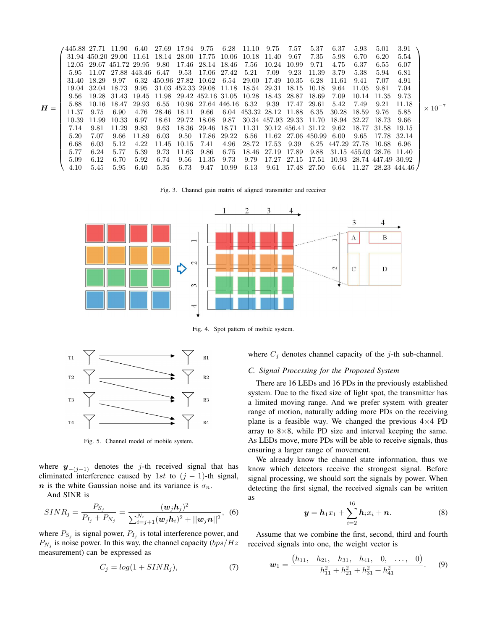$H =$  $\sqrt{ }$  .88 27.71 11.90 6.40 27.69 17.94 9.75 6.28 11.10 9.75 7.57 5.37 6.37 5.93 5.01 3.91 .94 450.20 29.00 11.61 18.14 28.00 17.75 10.06 10.18 11.40 9.67 7.35 5.98 6.70 6.20 5.54 .05 29.67 451.72 29.95 9.80 17.46 28.14 18.46 7.56 10.24 10.99 9.71 4.75 6.37 6.55 6.07 .95 11.07 27.88 443.46 6.47 9.53 17.06 27.42 5.21 7.09 9.23 11.39 3.79 5.38 5.94 6.81 .40 18.29 9.97 6.32 450.96 27.82 10.62 6.54 29.00 17.49 10.35 6.28 11.61 9.41 7.07 4.91 .04 32.04 18.73 9.95 31.03 452.33 29.08 11.18 18.54 29.31 18.15 10.18 9.64 11.05 9.81 7.04 .56 19.28 31.43 19.45 11.98 29.42 452.16 31.05 10.28 18.43 28.87 18.69 7.09 10.14 11.35 9.73 .88 10.16 18.47 29.93 6.55 10.96 27.64 446.16 6.32 9.39 17.47 29.61 5.42 7.49 9.21 11.18 .37 9.75 6.90 4.76 28.46 18.11 9.66 6.04 453.32 28.12 11.88 6.35 30.28 18.59 9.76 5.85 .39 11.99 10.33 6.97 18.61 29.72 18.08 9.87 30.34 457.93 29.33 11.70 18.94 32.27 18.73 9.66 .14 9.81 11.29 9.83 9.63 18.36 29.46 18.71 11.31 30.12 456.41 31.12 9.62 18.77 31.58 19.15 .20 7.07 9.66 11.89 6.03 9.50 17.86 29.22 6.56 11.62 27.06 450.99 6.00 9.65 17.78 32.14 .68 6.03 5.12 4.22 11.45 10.15 7.41 4.96 28.72 17.53 9.39 6.25 447.29 27.78 10.68 6.96 .77 6.24 5.77 5.39 9.73 11.63 9.86 6.75 18.46 27.19 17.89 9.88 31.15 455.03 28.76 11.40 .09 6.12 6.70 5.92 6.74 9.56 11.35 9.73 9.79 17.27 27.15 17.51 10.93 28.74 447.49 30.92 .10 5.45 5.95 6.40 5.35 6.73 9.47 10.99 6.13 9.61 17.48 27.50 6.64 11.27 28.23 444.46  $\setminus$   $\times$   $10^{-7}$ 

<span id="page-3-0"></span>Fig. 3. Channel gain matrix of aligned transmitter and receiver



<span id="page-3-1"></span>Fig. 4. Spot pattern of mobile system.



<span id="page-3-2"></span>Fig. 5. Channel model of mobile system.

where  $y_{-(j-1)}$  denotes the j-th received signal that has eliminated interference caused by 1st to  $(j - 1)$ -th signal, n is the white Gaussian noise and its variance is  $\sigma_n$ .

And SINR is

$$
SINR_j = \frac{P_{S_j}}{P_{I_j} + P_{N_j}} = \frac{(\mathbf{w}_j \mathbf{h}_j)^2}{\sum_{i=j+1}^{N_t} (\mathbf{w}_j \mathbf{h}_i)^2 + ||\mathbf{w}_j \mathbf{n}||^2},
$$
 (6)

where  $P_{S_j}$  is signal power,  $P_{I_j}$  is total interference power, and  $P_{N_j}$  is noise power. In this way, the channel capacity  $(bps/Hz)$ measurement) can be expressed as

<span id="page-3-3"></span>
$$
C_j = \log(1 + SINR_j),\tag{7}
$$

where  $C_j$  denotes channel capacity of the j-th sub-channel.

# *C. Signal Processing for the Proposed System*

There are 16 LEDs and 16 PDs in the previously established system. Due to the fixed size of light spot, the transmitter has a limited moving range. And we prefer system with greater range of motion, naturally adding more PDs on the receiving plane is a feasible way. We changed the previous  $4\times4$  PD array to  $8\times 8$ , while PD size and interval keeping the same. As LEDs move, more PDs will be able to receive signals, thus ensuring a larger range of movement.

We already know the channel state information, thus we know which detectors receive the strongest signal. Before signal processing, we should sort the signals by power. When detecting the first signal, the received signals can be written as

$$
y = h_1 x_1 + \sum_{i=2}^{16} h_i x_i + n.
$$
 (8)

Assume that we combine the first, second, third and fourth received signals into one, the weight vector is

$$
\boldsymbol{w}_1 = \frac{(h_{11}, h_{21}, h_{31}, h_{41}, 0, \ldots, 0)}{h_{11}^2 + h_{21}^2 + h_{31}^2 + h_{41}^2}.
$$
 (9)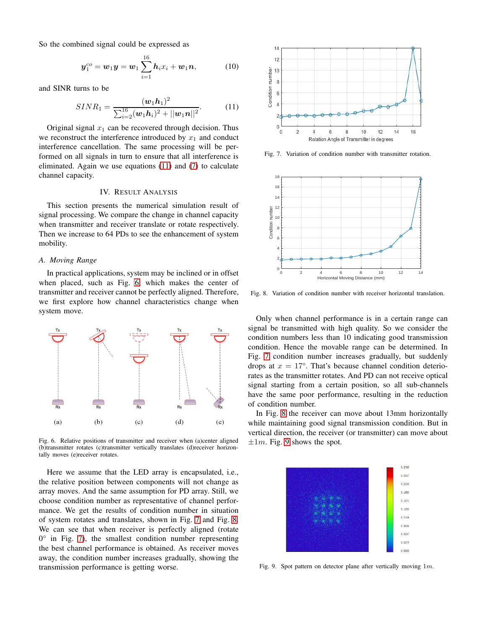So the combined signal could be expressed as

$$
\boldsymbol{y}_1^{co} = \boldsymbol{w}_1 \boldsymbol{y} = \boldsymbol{w}_1 \sum_{i=1}^{16} \boldsymbol{h}_i x_i + \boldsymbol{w}_1 \boldsymbol{n}, \tag{10}
$$

and SINR turns to be

<span id="page-4-1"></span>
$$
SINR_1 = \frac{(\boldsymbol{w}_1 \boldsymbol{h}_1)^2}{\sum_{i=2}^{16} (\boldsymbol{w}_1 \boldsymbol{h}_i)^2 + ||\boldsymbol{w}_1 \boldsymbol{n}||^2}.
$$
 (11)

Original signal  $x_1$  can be recovered through decision. Thus we reconstruct the interference introduced by  $x_1$  and conduct interference cancellation. The same processing will be performed on all signals in turn to ensure that all interference is eliminated. Again we use equations [\(11\)](#page-4-1) and [\(7\)](#page-3-3) to calculate channel capacity.

# IV. RESULT ANALYSIS

<span id="page-4-0"></span>This section presents the numerical simulation result of signal processing. We compare the change in channel capacity when transmitter and receiver translate or rotate respectively. Then we increase to 64 PDs to see the enhancement of system mobility.

## *A. Moving Range*

In practical applications, system may be inclined or in offset when placed, such as Fig. [6,](#page-4-2) which makes the center of transmitter and receiver cannot be perfectly aligned. Therefore, we first explore how channel characteristics change when system move.



<span id="page-4-2"></span>Fig. 6. Relative positions of transmitter and receiver when (a)center aligned (b)transmitter rotates (c)transmitter vertically translates (d)receiver horizontally moves (e)receiver rotates.

Here we assume that the LED array is encapsulated, i.e., the relative position between components will not change as array moves. And the same assumption for PD array. Still, we choose condition number as representative of channel performance. We get the results of condition number in situation of system rotates and translates, shown in Fig. [7](#page-4-3) and Fig. [8.](#page-4-4) We can see that when receiver is perfectly aligned (rotate  $0^{\circ}$  in Fig. [7\)](#page-4-3), the smallest condition number representing the best channel performance is obtained. As receiver moves away, the condition number increases gradually, showing the transmission performance is getting worse.



<span id="page-4-3"></span>Fig. 7. Variation of condition number with transmitter rotation.



<span id="page-4-4"></span>Fig. 8. Variation of condition number with receiver horizontal translation.

Only when channel performance is in a certain range can signal be transmitted with high quality. So we consider the condition numbers less than 10 indicating good transmission condition. Hence the movable range can be determined. In Fig. [7](#page-4-3) condition number increases gradually, but suddenly drops at  $x = 17^{\circ}$ . That's because channel condition deteriorates as the transmitter rotates. And PD can not receive optical signal starting from a certain position, so all sub-channels have the same poor performance, resulting in the reduction of condition number.

In Fig. [8](#page-4-4) the receiver can move about 13mm horizontally while maintaining good signal transmission condition. But in vertical direction, the receiver (or transmitter) can move about  $\pm 1m$ . Fig. [9](#page-4-5) shows the spot.



<span id="page-4-5"></span>Fig. 9. Spot pattern on detector plane after vertically moving 1m.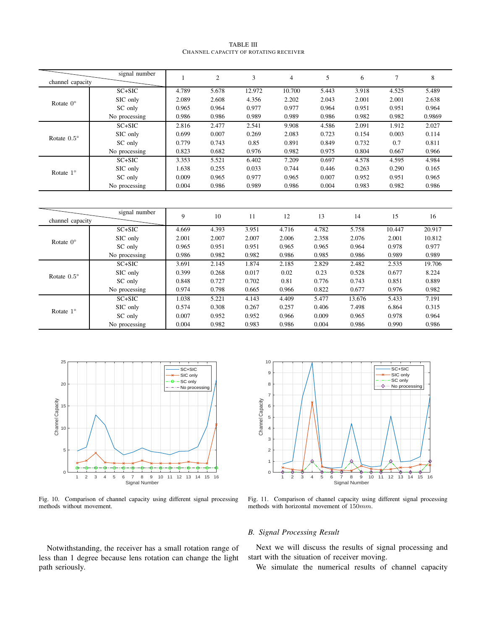| TABLE III |                                       |  |  |  |  |  |  |  |  |  |
|-----------|---------------------------------------|--|--|--|--|--|--|--|--|--|
|           | Channel capacity of rotating receiver |  |  |  |  |  |  |  |  |  |

<span id="page-5-0"></span>

|                      | signal number |       | $\overline{c}$ | 3      | 4      | 5     | 6     | $\mathcal{I}$ | 8      |
|----------------------|---------------|-------|----------------|--------|--------|-------|-------|---------------|--------|
| channel capacity     |               |       |                |        |        |       |       |               |        |
|                      | $SC+SIC$      | 4.789 | 5.678          | 12.972 | 10.700 | 5.443 | 3.918 | 4.525         | 5.489  |
| Rotate $0^{\circ}$   | SIC only      | 2.089 | 2.608          | 4.356  | 2.202  | 2.043 | 2.001 | 2.001         | 2.638  |
|                      | SC only       | 0.965 | 0.964          | 0.977  | 0.977  | 0.964 | 0.951 | 0.951         | 0.964  |
|                      | No processing | 0.986 | 0.986          | 0.989  | 0.989  | 0.986 | 0.982 | 0.982         | 0.9869 |
| Rotate $0.5^{\circ}$ | $SC+SIC$      | 2.816 | 2.477          | 2.541  | 9.908  | 4.586 | 2.091 | 1.912         | 2.027  |
|                      | SIC only      | 0.699 | 0.007          | 0.269  | 2.083  | 0.723 | 0.154 | 0.003         | 0.114  |
|                      | SC only       | 0.779 | 0.743          | 0.85   | 0.891  | 0.849 | 0.732 | 0.7           | 0.811  |
|                      | No processing | 0.823 | 0.682          | 0.976  | 0.982  | 0.975 | 0.804 | 0.667         | 0.966  |
|                      | $SC+SIC$      | 3.353 | 5.521          | 6.402  | 7.209  | 0.697 | 4.578 | 4.595         | 4.984  |
| Rotate $1^\circ$     | SIC only      | 1.638 | 0.255          | 0.033  | 0.744  | 0.446 | 0.263 | 0.290         | 0.165  |
|                      | SC only       | 0.009 | 0.965          | 0.977  | 0.965  | 0.007 | 0.952 | 0.951         | 0.965  |
|                      | No processing | 0.004 | 0.986          | 0.989  | 0.986  | 0.004 | 0.983 | 0.982         | 0.986  |

| channel capacity     | signal number | 9     | 10    | 11    | 12    | 13    | 14     | 15     | 16     |
|----------------------|---------------|-------|-------|-------|-------|-------|--------|--------|--------|
|                      | $SC+SIC$      | 4.669 | 4.393 | 3.951 | 4.716 | 4.782 | 5.758  | 10.447 | 20.917 |
| Rotate $0^{\circ}$   | SIC only      | 2.001 | 2.007 | 2.007 | 2.006 | 2.358 | 2.076  | 2.001  | 10.812 |
|                      | SC only       | 0.965 | 0.951 | 0.951 | 0.965 | 0.965 | 0.964  | 0.978  | 0.977  |
|                      | No processing | 0.986 | 0.982 | 0.982 | 0.986 | 0.985 | 0.986  | 0.989  | 0.989  |
|                      | $SC+SIC$      | 3.691 | 2.145 | 1.874 | 2.185 | 2.829 | 2.482  | 2.535  | 19.706 |
| Rotate $0.5^{\circ}$ | SIC only      | 0.399 | 0.268 | 0.017 | 0.02  | 0.23  | 0.528  | 0.677  | 8.224  |
|                      | SC only       | 0.848 | 0.727 | 0.702 | 0.81  | 0.776 | 0.743  | 0.851  | 0.889  |
|                      | No processing | 0.974 | 0.798 | 0.665 | 0.966 | 0.822 | 0.677  | 0.976  | 0.982  |
|                      | $SC+SIC$      | 1.038 | 5.221 | 4.143 | 4.409 | 5.477 | 13.676 | 5.433  | 7.191  |
| Rotate $1^\circ$     | SIC only      | 0.574 | 0.308 | 0.267 | 0.257 | 0.406 | 7.498  | 6.864  | 0.315  |
|                      | SC only       | 0.007 | 0.952 | 0.952 | 0.966 | 0.009 | 0.965  | 0.978  | 0.964  |
|                      | No processing | 0.004 | 0.982 | 0.983 | 0.986 | 0.004 | 0.986  | 0.990  | 0.986  |



<span id="page-5-1"></span>Fig. 10. Comparison of channel capacity using different signal processing methods without movement.



<span id="page-5-2"></span>Fig. 11. Comparison of channel capacity using different signal processing methods with horizontal movement of 150mm.

# *B. Signal Processing Result*

Next we will discuss the results of signal processing and start with the situation of receiver moving.

We simulate the numerical results of channel capacity

Notwithstanding, the receiver has a small rotation range of

less than 1 degree because lens rotation can change the light

path seriously.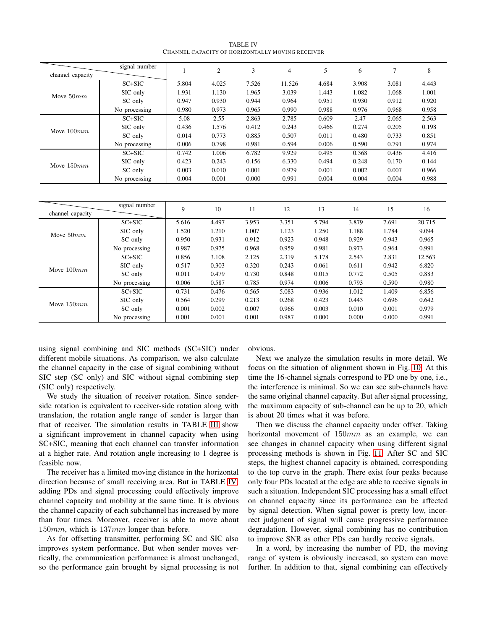TABLE IV CHANNEL CAPACITY OF HORIZONTALLY MOVING RECEIVER

<span id="page-6-0"></span>

| channel capacity | signal number |       | $\overline{2}$ | 3     | 4      | 5     | 6     | 7     | 8     |
|------------------|---------------|-------|----------------|-------|--------|-------|-------|-------|-------|
|                  |               |       |                |       |        |       |       |       |       |
|                  | $SC+SIC$      | 5.804 | 4.025          | 7.526 | 11.526 | 4.684 | 3.908 | 3.081 | 4.443 |
| Move $50mm$      | SIC only      | 1.931 | 1.130          | 1.965 | 3.039  | 1.443 | 1.082 | 1.068 | 1.001 |
|                  | SC only       | 0.947 | 0.930          | 0.944 | 0.964  | 0.951 | 0.930 | 0.912 | 0.920 |
|                  | No processing | 0.980 | 0.973          | 0.965 | 0.990  | 0.988 | 0.976 | 0.968 | 0.958 |
| Move $100mm$     | $SC+SIC$      | 5.08  | 2.55           | 2.863 | 2.785  | 0.609 | 2.47  | 2.065 | 2.563 |
|                  | SIC only      | 0.436 | 1.576          | 0.412 | 0.243  | 0.466 | 0.274 | 0.205 | 0.198 |
|                  | SC only       | 0.014 | 0.773          | 0.885 | 0.507  | 0.011 | 0.480 | 0.733 | 0.851 |
|                  | No processing | 0.006 | 0.798          | 0.981 | 0.594  | 0.006 | 0.590 | 0.791 | 0.974 |
|                  | $SC+SIC$      | 0.742 | 1.006          | 6.782 | 9.929  | 0.495 | 0.368 | 0.436 | 4.416 |
| Move $150mm$     | SIC only      | 0.423 | 0.243          | 0.156 | 6.330  | 0.494 | 0.248 | 0.170 | 0.144 |
|                  | SC only       | 0.003 | 0.010          | 0.001 | 0.979  | 0.001 | 0.002 | 0.007 | 0.966 |
|                  | No processing | 0.004 | 0.001          | 0.000 | 0.991  | 0.004 | 0.004 | 0.004 | 0.988 |
|                  |               |       |                |       |        |       |       |       |       |
|                  |               |       |                |       |        |       |       |       |       |

| channel capacity | signal number | 9     | 10    | 11    | 12    | 13    | 14    | 15    | 16     |
|------------------|---------------|-------|-------|-------|-------|-------|-------|-------|--------|
|                  | $SC+SIC$      | 5.616 | 4.497 | 3.953 | 3.351 | 5.794 | 3.879 | 7.691 | 20.715 |
| Move $50mm$      | SIC only      | 1.520 | 1.210 | 1.007 | 1.123 | 1.250 | 1.188 | 1.784 | 9.094  |
|                  | SC only       | 0.950 | 0.931 | 0.912 | 0.923 | 0.948 | 0.929 | 0.943 | 0.965  |
|                  | No processing | 0.987 | 0.975 | 0.968 | 0.959 | 0.981 | 0.973 | 0.964 | 0.991  |
| Move $100mm$     | $SC+SIC$      | 0.856 | 3.108 | 2.125 | 2.319 | 5.178 | 2.543 | 2.831 | 12.563 |
|                  | SIC only      | 0.517 | 0.303 | 0.320 | 0.243 | 0.061 | 0.611 | 0.942 | 6.820  |
|                  | SC only       | 0.011 | 0.479 | 0.730 | 0.848 | 0.015 | 0.772 | 0.505 | 0.883  |
|                  | No processing | 0.006 | 0.587 | 0.785 | 0.974 | 0.006 | 0.793 | 0.590 | 0.980  |
|                  | $SC+SIC$      | 0.731 | 0.476 | 0.565 | 5.083 | 0.936 | 1.012 | 1.409 | 6.856  |
| Move $150mm$     | SIC only      | 0.564 | 0.299 | 0.213 | 0.268 | 0.423 | 0.443 | 0.696 | 0.642  |
|                  | SC only       | 0.001 | 0.002 | 0.007 | 0.966 | 0.003 | 0.010 | 0.001 | 0.979  |
|                  | No processing | 0.001 | 0.001 | 0.001 | 0.987 | 0.000 | 0.000 | 0.000 | 0.991  |

using signal combining and SIC methods (SC+SIC) under different mobile situations. As comparison, we also calculate the channel capacity in the case of signal combining without SIC step (SC only) and SIC without signal combining step (SIC only) respectively.

We study the situation of receiver rotation. Since senderside rotation is equivalent to receiver-side rotation along with translation, the rotation angle range of sender is larger than that of receiver. The simulation results in TABLE [III](#page-5-0) show a significant improvement in channel capacity when using SC+SIC, meaning that each channel can transfer information at a higher rate. And rotation angle increasing to 1 degree is feasible now.

The receiver has a limited moving distance in the horizontal direction because of small receiving area. But in TABLE [IV,](#page-6-0) adding PDs and signal processing could effectively improve channel capacity and mobility at the same time. It is obvious the channel capacity of each subchannel has increased by more than four times. Moreover, receiver is able to move about 150mm, which is 137mm longer than before.

As for offsetting transmitter, performing SC and SIC also improves system performance. But when sender moves vertically, the communication performance is almost unchanged, so the performance gain brought by signal processing is not obvious.

Next we analyze the simulation results in more detail. We focus on the situation of alignment shown in Fig. [10.](#page-5-1) At this time the 16-channel signals correspond to PD one by one, i.e., the interference is minimal. So we can see sub-channels have the same original channel capacity. But after signal processing, the maximum capacity of sub-channel can be up to 20, which is about 20 times what it was before.

Then we discuss the channel capacity under offset. Taking horizontal movement of  $150mm$  as an example, we can see changes in channel capacity when using different signal processing methods is shown in Fig. [11.](#page-5-2) After SC and SIC steps, the highest channel capacity is obtained, corresponding to the top curve in the graph. There exist four peaks because only four PDs located at the edge are able to receive signals in such a situation. Independent SIC processing has a small effect on channel capacity since its performance can be affected by signal detection. When signal power is pretty low, incorrect judgment of signal will cause progressive performance degradation. However, signal combining has no contribution to improve SNR as other PDs can hardly receive signals.

In a word, by increasing the number of PD, the moving range of system is obviously increased, so system can move further. In addition to that, signal combining can effectively